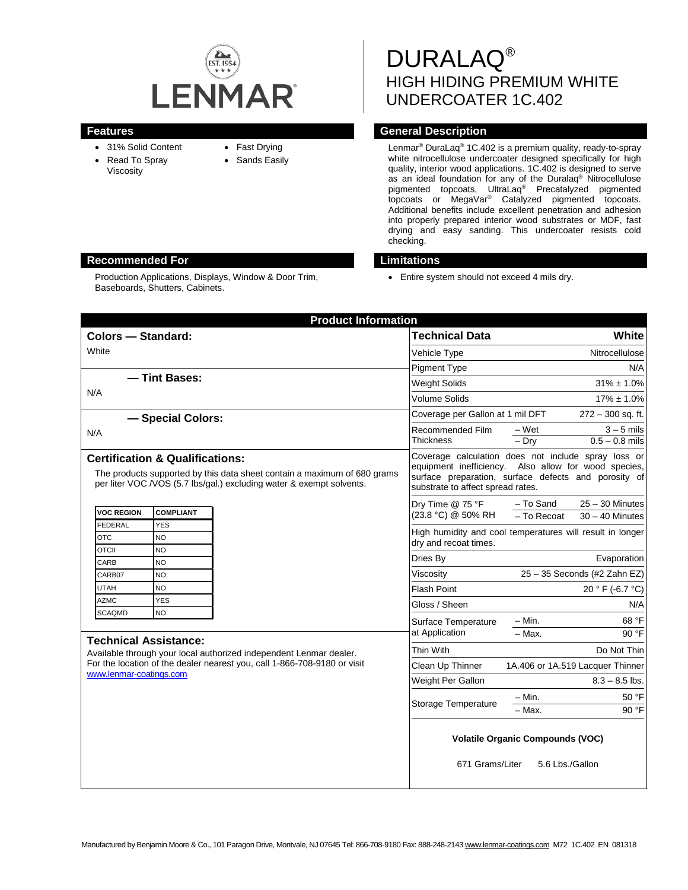

- 31% Solid Content
- Read To Spray
	-

Production Applications, Displays, Window & Door Trim,

- Fast Drying
- Viscosity

Baseboards, Shutters, Cabinets.

• Sands Easily

DURALAQ® HIGH HIDING PREMIUM WHITE UNDERCOATER 1C.402

# **Features Features Features General Description**

Lenmar® DuraLaq® 1C.402 is a premium quality, ready-to-spray white nitrocellulose undercoater designed specifically for high quality, interior wood applications. 1C.402 is designed to serve as an ideal foundation for any of the Duralaq® Nitrocellulose pigmented topcoats, UltraLaq® Precatalyzed pigmented topcoats or MegaVar® Catalyzed pigmented topcoats. Additional benefits include excellent penetration and adhesion into properly prepared interior wood substrates or MDF, fast drying and easy sanding. This undercoater resists cold checking.

# **Recommended For Limitations**

• Entire system should not exceed 4 mils dry.

| <b>Product Information</b>                                                                                                                                                                                                              |                                                                                                                                                                                                          |                                                                    |
|-----------------------------------------------------------------------------------------------------------------------------------------------------------------------------------------------------------------------------------------|----------------------------------------------------------------------------------------------------------------------------------------------------------------------------------------------------------|--------------------------------------------------------------------|
| Colors - Standard:                                                                                                                                                                                                                      | <b>Technical Data</b>                                                                                                                                                                                    | White                                                              |
| White                                                                                                                                                                                                                                   | Vehicle Type                                                                                                                                                                                             | Nitrocellulose                                                     |
|                                                                                                                                                                                                                                         | <b>Pigment Type</b>                                                                                                                                                                                      | N/A                                                                |
| - Tint Bases:                                                                                                                                                                                                                           | <b>Weight Solids</b>                                                                                                                                                                                     | $31\% \pm 1.0\%$                                                   |
| N/A                                                                                                                                                                                                                                     | <b>Volume Solids</b>                                                                                                                                                                                     | $17\% \pm 1.0\%$                                                   |
| - Special Colors:                                                                                                                                                                                                                       | Coverage per Gallon at 1 mil DFT                                                                                                                                                                         | 272 - 300 sq. ft.                                                  |
| N/A                                                                                                                                                                                                                                     | Recommended Film<br><b>Thickness</b>                                                                                                                                                                     | – Wet<br>$3 - 5$ mils<br>$0.5 - 0.8$ mils<br>$-Dry$                |
| <b>Certification &amp; Qualifications:</b><br>The products supported by this data sheet contain a maximum of 680 grams<br>per liter VOC / VOS (5.7 lbs/gal.) excluding water & exempt solvents.                                         | Coverage calculation does not include spray loss or<br>equipment inefficiency. Also allow for wood species,<br>surface preparation, surface defects and porosity of<br>substrate to affect spread rates. |                                                                    |
| <b>VOC REGION</b><br><b>COMPLIANT</b><br><b>FEDERAL</b><br><b>YES</b><br><b>OTC</b><br><b>NO</b><br><b>OTCII</b><br><b>NO</b><br><b>NO</b><br>CARB                                                                                      | Dry Time @ 75 °F<br>(23.8 °C) @ 50% RH                                                                                                                                                                   | - To Sand<br>$25 - 30$ Minutes<br>- To Recoat<br>$30 - 40$ Minutes |
|                                                                                                                                                                                                                                         | High humidity and cool temperatures will result in longer<br>dry and recoat times.                                                                                                                       |                                                                    |
|                                                                                                                                                                                                                                         | Dries By                                                                                                                                                                                                 | Evaporation                                                        |
| CARB07<br><b>NO</b>                                                                                                                                                                                                                     | Viscosity                                                                                                                                                                                                | 25 - 35 Seconds (#2 Zahn EZ)                                       |
| <b>NO</b><br><b>UTAH</b>                                                                                                                                                                                                                | <b>Flash Point</b>                                                                                                                                                                                       | 20 ° F (-6.7 °C)                                                   |
| <b>AZMC</b><br><b>YES</b>                                                                                                                                                                                                               | Gloss / Sheen                                                                                                                                                                                            | N/A                                                                |
| <b>NO</b><br><b>SCAQMD</b><br><b>Technical Assistance:</b><br>Available through your local authorized independent Lenmar dealer.<br>For the location of the dealer nearest you, call 1-866-708-9180 or visit<br>www.lenmar-coatings.com | Surface Temperature                                                                                                                                                                                      | 68 °F<br>– Min.                                                    |
|                                                                                                                                                                                                                                         | at Application                                                                                                                                                                                           | $-$ Max.<br>90 °F                                                  |
|                                                                                                                                                                                                                                         | Thin With                                                                                                                                                                                                | Do Not Thin                                                        |
|                                                                                                                                                                                                                                         | Clean Up Thinner                                                                                                                                                                                         | 1A.406 or 1A.519 Lacquer Thinner                                   |
|                                                                                                                                                                                                                                         | Weight Per Gallon                                                                                                                                                                                        | $8.3 - 8.5$ lbs.                                                   |
|                                                                                                                                                                                                                                         | Storage Temperature                                                                                                                                                                                      | – Min.<br>50 °F                                                    |
|                                                                                                                                                                                                                                         |                                                                                                                                                                                                          | $-$ Max.<br>90 °F                                                  |
|                                                                                                                                                                                                                                         | <b>Volatile Organic Compounds (VOC)</b><br>671 Grams/Liter<br>5.6 Lbs./Gallon                                                                                                                            |                                                                    |
|                                                                                                                                                                                                                                         |                                                                                                                                                                                                          |                                                                    |